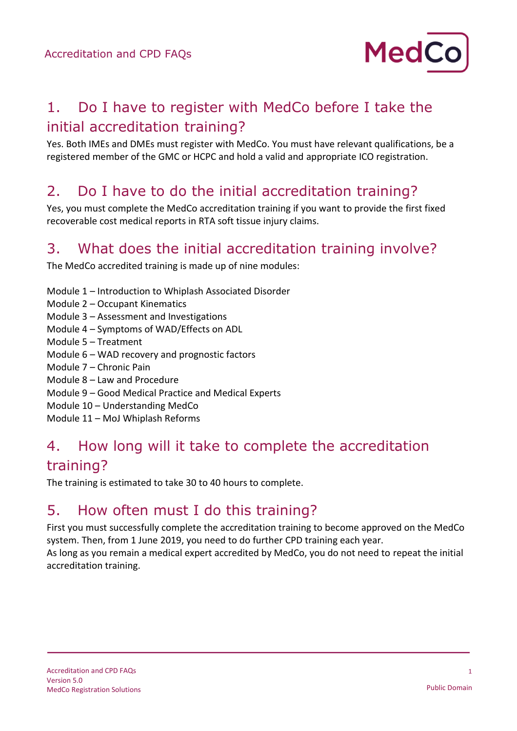

# 1. Do I have to register with MedCo before I take the initial accreditation training?

Yes. Both IMEs and DMEs must register with MedCo. You must have relevant qualifications, be a registered member of the GMC or HCPC and hold a valid and appropriate ICO registration.

#### 2. Do I have to do the initial accreditation training?

Yes, you must complete the MedCo accreditation training if you want to provide the first fixed recoverable cost medical reports in RTA soft tissue injury claims.

#### 3. What does the initial accreditation training involve?

The MedCo accredited training is made up of nine modules:

- Module 1 Introduction to Whiplash Associated Disorder
- Module 2 Occupant Kinematics
- Module 3 Assessment and Investigations
- Module 4 Symptoms of WAD/Effects on ADL
- Module 5 Treatment
- Module 6 WAD recovery and prognostic factors
- Module 7 Chronic Pain
- Module 8 Law and Procedure
- Module 9 Good Medical Practice and Medical Experts
- Module 10 Understanding MedCo
- Module 11 MoJ Whiplash Reforms

#### 4. How long will it take to complete the accreditation training?

The training is estimated to take 30 to 40 hours to complete.

#### 5. How often must I do this training?

First you must successfully complete the accreditation training to become approved on the MedCo system. Then, from 1 June 2019, you need to do further CPD training each year.

As long as you remain a medical expert accredited by MedCo, you do not need to repeat the initial accreditation training.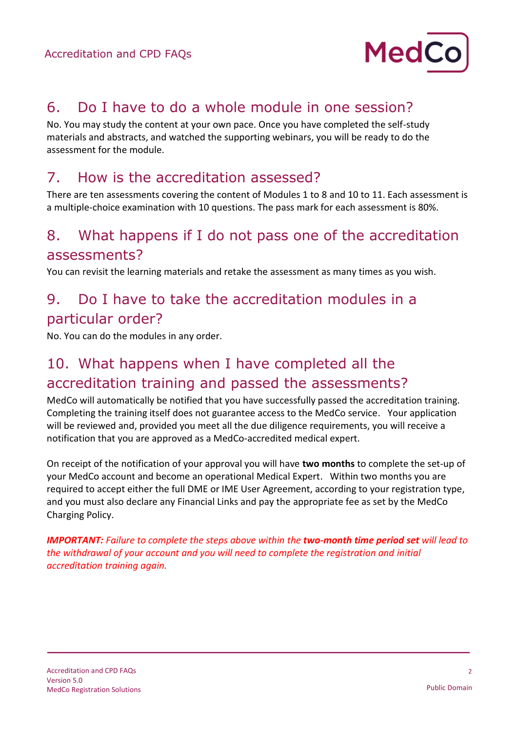

#### 6. Do I have to do a whole module in one session?

No. You may study the content at your own pace. Once you have completed the self-study materials and abstracts, and watched the supporting webinars, you will be ready to do the assessment for the module.

#### 7. How is the accreditation assessed?

There are ten assessments covering the content of Modules 1 to 8 and 10 to 11. Each assessment is a multiple-choice examination with 10 questions. The pass mark for each assessment is 80%.

#### 8. What happens if I do not pass one of the accreditation assessments?

You can revisit the learning materials and retake the assessment as many times as you wish.

# 9. Do I have to take the accreditation modules in a particular order?

No. You can do the modules in any order.

# 10. What happens when I have completed all the accreditation training and passed the assessments?

MedCo will automatically be notified that you have successfully passed the accreditation training. Completing the training itself does not guarantee access to the MedCo service. Your application will be reviewed and, provided you meet all the due diligence requirements, you will receive a notification that you are approved as a MedCo-accredited medical expert.

On receipt of the notification of your approval you will have **two months** to complete the set-up of your MedCo account and become an operational Medical Expert. Within two months you are required to accept either the full DME or IME User Agreement, according to your registration type, and you must also declare any Financial Links and pay the appropriate fee as set by the MedCo Charging Policy.

*IMPORTANT: Failure to complete the steps above within the two-month time period set will lead to the withdrawal of your account and you will need to complete the registration and initial accreditation training again.*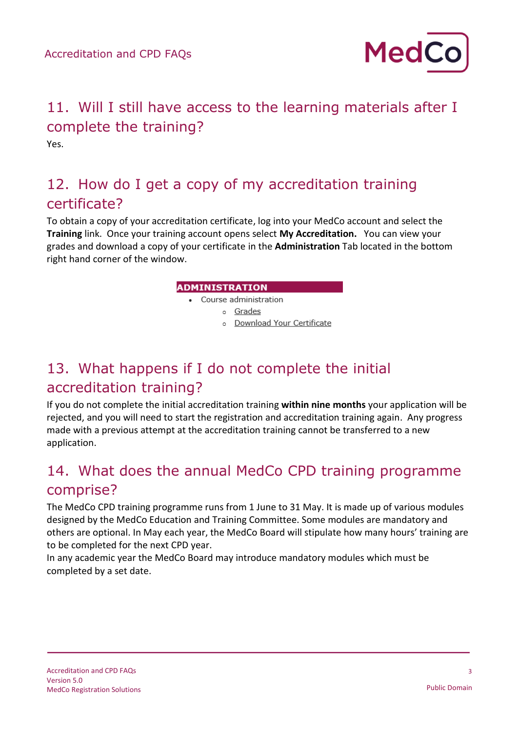

# 11. Will I still have access to the learning materials after I complete the training?

Yes.

# 12. How do I get a copy of my accreditation training certificate?

To obtain a copy of your accreditation certificate, log into your MedCo account and select the **Training** link. Once your training account opens select **My Accreditation.** You can view your grades and download a copy of your certificate in the **Administration** Tab located in the bottom right hand corner of the window.

#### **ADMINISTRATION**

- Course administration
	- o Grades
		- o Download Your Certificate

# 13. What happens if I do not complete the initial accreditation training?

If you do not complete the initial accreditation training **within nine months** your application will be rejected, and you will need to start the registration and accreditation training again. Any progress made with a previous attempt at the accreditation training cannot be transferred to a new application.

# 14. What does the annual MedCo CPD training programme comprise?

The MedCo CPD training programme runs from 1 June to 31 May. It is made up of various modules designed by the MedCo Education and Training Committee. Some modules are mandatory and others are optional. In May each year, the MedCo Board will stipulate how many hours' training are to be completed for the next CPD year.

In any academic year the MedCo Board may introduce mandatory modules which must be completed by a set date.